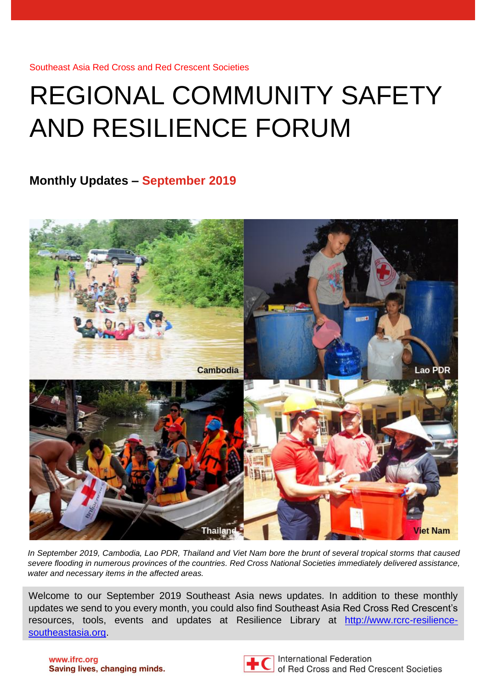# REGIONAL COMMUNITY SAFETY AND RESILIENCE FORUM

#### **Monthly Updates – September 2019**



*In September 2019, Cambodia, Lao PDR, Thailand and Viet Nam bore the brunt of several tropical storms that caused severe flooding in numerous provinces of the countries. Red Cross National Societies immediately delivered assistance, water and necessary items in the affected areas.* 

Welcome to our September 2019 Southeast Asia news updates. In addition to these monthly updates we send to you every month, you could also find Southeast Asia Red Cross Red Crescent's resources, tools, events and updates at Resilience Library at [http://www.rcrc-resilience](http://www.rcrc-resilience-southeastasia.org/)[southeastasia.org.](http://www.rcrc-resilience-southeastasia.org/)

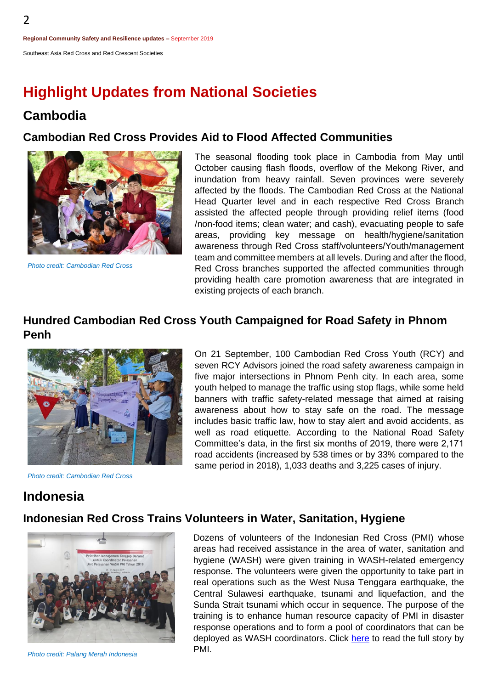### **Highlight Updates from National Societies**

#### **Cambodia**

2

#### **Cambodian Red Cross Provides Aid to Flood Affected Communities**



*Photo credit: Cambodian Red Cross*

The seasonal flooding took place in Cambodia from May until October causing flash floods, overflow of the Mekong River, and inundation from heavy rainfall. Seven provinces were severely affected by the floods. The Cambodian Red Cross at the National Head Quarter level and in each respective Red Cross Branch assisted the affected people through providing relief items (food /non-food items; clean water; and cash), evacuating people to safe areas, providing key message on health/hygiene/sanitation awareness through Red Cross staff/volunteers/Youth/management team and committee members at all levels. During and after the flood, Red Cross branches supported the affected communities through providing health care promotion awareness that are integrated in existing projects of each branch.

#### **Hundred Cambodian Red Cross Youth Campaigned for Road Safety in Phnom Penh**



*Photo credit: Cambodian Red Cross*

On 21 September, 100 Cambodian Red Cross Youth (RCY) and seven RCY Advisors joined the road safety awareness campaign in five major intersections in Phnom Penh city. In each area, some youth helped to manage the traffic using stop flags, while some held banners with traffic safety-related message that aimed at raising awareness about how to stay safe on the road. The message includes basic traffic law, how to stay alert and avoid accidents, as well as road etiquette. According to the National Road Safety Committee's data, in the first six months of 2019, there were 2,171 road accidents (increased by 538 times or by 33% compared to the same period in 2018), 1,033 deaths and 3,225 cases of injury.

#### **Indonesia**

#### **Indonesian Red Cross Trains Volunteers in Water, Sanitation, Hygiene**



*Photo credit: Palang Merah Indonesia*

Dozens of volunteers of the Indonesian Red Cross (PMI) whose areas had received assistance in the area of water, sanitation and hygiene (WASH) were given training in WASH-related emergency response. The volunteers were given the opportunity to take part in real operations such as the West Nusa Tenggara earthquake, the Central Sulawesi earthquake, tsunami and liquefaction, and the Sunda Strait tsunami which occur in sequence. The purpose of the training is to enhance human resource capacity of PMI in disaster response operations and to form a pool of coordinators that can be deployed as WASH coordinators. Click [here](http://www.pmi.or.id/index.php/berita-dan-media/peristiwa/item/993-pmi-perkuat-relawan-terlatih-bidang-wash.html) to read the full story by PMI.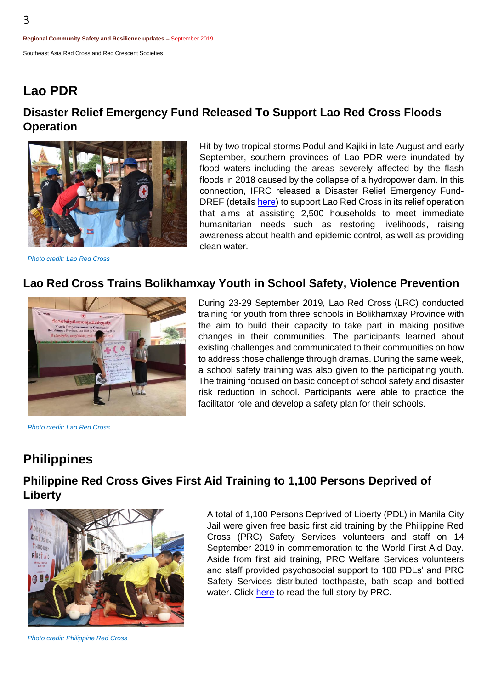### **Lao PDR**

#### **Disaster Relief Emergency Fund Released To Support Lao Red Cross Floods Operation**



Hit by two tropical storms Podul and Kajiki in late August and early September, southern provinces of Lao PDR were inundated by flood waters including the areas severely affected by the flash floods in 2018 caused by the collapse of a hydropower dam. In this connection, IFRC released a Disaster Relief Emergency FundDREF (detail[s here\)](https://t.co/eum28UH8Z1?amp=1) to support Lao Red Cross in its relief operation that aims at assisting 2,500 households to meet immediate humanitarian needs such as restoring livelihoods, raising awareness about health and epidemic control, as well as providing clean water.

#### *Photo credit: Lao Red Cross*

#### **Lao Red Cross Trains Bolikhamxay Youth in School Safety, Violence Prevention**



*Photo credit: Lao Red Cross*

During 23-29 September 2019, Lao Red Cross (LRC) conducted training for youth from three schools in Bolikhamxay Province with the aim to build their capacity to take part in making positive changes in their communities. The participants learned about existing challenges and communicated to their communities on how to address those challenge through dramas. During the same week, a school safety training was also given to the participating youth. The training focused on basic concept of school safety and disaster risk reduction in school. Participants were able to practice the facilitator role and develop a safety plan for their schools.

#### **Philippines**

#### **Philippine Red Cross Gives First Aid Training to 1,100 Persons Deprived of Liberty**



A total of 1,100 Persons Deprived of Liberty (PDL) in Manila City Jail were given free basic first aid training by the Philippine Red Cross (PRC) Safety Services volunteers and staff on 14 September 2019 in commemoration to the World First Aid Day. Aside from first aid training, PRC Welfare Services volunteers and staff provided psychosocial support to 100 PDLs' and PRC Safety Services distributed toothpaste, bath soap and bottled water. Click [here](https://www.redcross.org.ph/2019/09/25/red-cross-gives-first-aid-training-to-1100-persons-deprived-of-liberty/) to read the full story by PRC.

*Photo credit: Philippine Red Cross*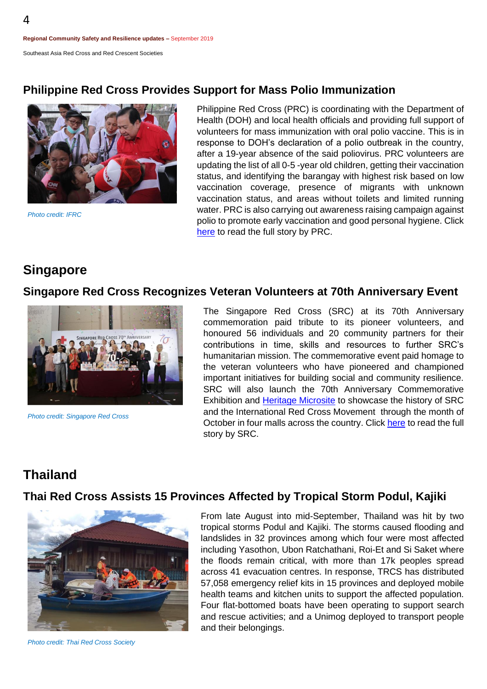#### **Philippine Red Cross Provides Support for Mass Polio Immunization**



*Photo credit: IFRC*

Philippine Red Cross (PRC) is coordinating with the Department of Health (DOH) and local health officials and providing full support of volunteers for mass immunization with oral polio vaccine. This is in response to DOH's declaration of a polio outbreak in the country, after a 19-year absence of the said poliovirus. PRC volunteers are updating the list of all 0-5 -year old children, getting their vaccination status, and identifying the barangay with highest risk based on low vaccination coverage, presence of migrants with unknown vaccination status, and areas without toilets and limited running water. PRC is also carrying out awareness raising campaign against polio to promote early vaccination and good personal hygiene. Click [here](https://www.redcross.org.ph/2019/09/24/prc-to-assist-in-mass-immunization-vs-polio/) to read the full story by PRC.

#### **Singapore**

#### **Singapore Red Cross Recognizes Veteran Volunteers at 70th Anniversary Event**



*Photo credit: Singapore Red Cross*

The Singapore Red Cross (SRC) at its 70th Anniversary commemoration paid tribute to its pioneer volunteers, and honoured 56 individuals and 20 community partners for their contributions in time, skills and resources to further SRC's humanitarian mission. The commemorative event paid homage to the veteran volunteers who have pioneered and championed important initiatives for building social and community resilience. SRC will also launch the 70th Anniversary Commemorative Exhibition and [Heritage Microsite](https://myredcross.sg/) to showcase the history of SRC and the International Red Cross Movement through the month of October in four malls across the country. Click [here](https://www.redcross.sg/media-centre/press-releases/807-veteran-volunteers-unsung-heroes-take-centre-stage-at-singapore-red-cross-70th-anniversary.html) to read the full story by SRC.

#### **Thailand**

#### **Thai Red Cross Assists 15 Provinces Affected by Tropical Storm Podul, Kajiki**



From late August into mid-September, Thailand was hit by two tropical storms Podul and Kajiki. The storms caused flooding and landslides in 32 provinces among which four were most affected including Yasothon, Ubon Ratchathani, Roi-Et and Si Saket where the floods remain critical, with more than 17k peoples spread across 41 evacuation centres. In response, TRCS has distributed 57,058 emergency relief kits in 15 provinces and deployed mobile health teams and kitchen units to support the affected population. Four flat-bottomed boats have been operating to support search and rescue activities; and a Unimog deployed to transport people and their belongings.

*Photo credit: Thai Red Cross Society*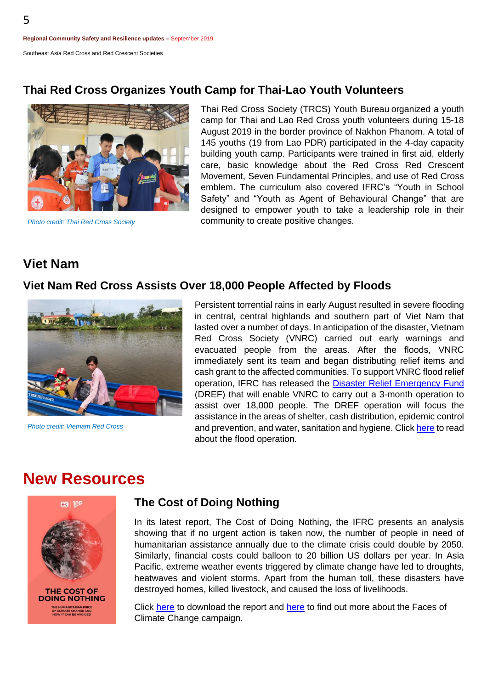#### **Thai Red Cross Organizes Youth Camp for Thai-Lao Youth Volunteers**



*Photo credit: Thai Red Cross Society*

Thai Red Cross Society (TRCS) Youth Bureau organized a youth camp for Thai and Lao Red Cross youth volunteers during 15-18 August 2019 in the border province of Nakhon Phanom. A total of 145 youths (19 from Lao PDR) participated in the 4-day capacity building youth camp. Participants were trained in first aid, elderly care, basic knowledge about the Red Cross Red Crescent Movement, Seven Fundamental Principles, and use of Red Cross emblem. The curriculum also covered IFRC's "Youth in School Safety" and "Youth as Agent of Behavioural Change" that are designed to empower youth to take a leadership role in their community to create positive changes.

#### **Viet Nam**

#### **Viet Nam Red Cross Assists Over 18,000 People Affected by Floods**



*Photo credit: Vietnam Red Cross*

Persistent torrential rains in early August resulted in severe flooding in central, central highlands and southern part of Viet Nam that lasted over a number of days. In anticipation of the disaster, Vietnam Red Cross Society (VNRC) carried out early warnings and evacuated people from the areas. After the floods, VNRC immediately sent its team and began distributing relief items and cash grant to the affected communities. To support VNRC flood relief operation, IFRC has released the Disaster Relief [Emergency](http://adore.ifrc.org/Download.aspx?FileId=253326) Fund (DREF) that will enable VNRC to carry out a 3-month operation to assist over 18,000 people. The DREF operation will focus the assistance in the areas of shelter, cash distribution, epidemic control and prevention, and water, sanitation and hygiene. Click [here](https://www.rcrc-resilience-southeastasia.org/vietnam/2019-dref-floods-operation-in-viet-nam/) to read about the flood operation.

#### **New Resources**



#### **The Cost of Doing Nothing**

In its latest report, The Cost of Doing Nothing, the IFRC presents an analysis showing that if no urgent action is taken now, the number of people in need of humanitarian assistance annually due to the climate crisis could double by 2050. Similarly, financial costs could balloon to 20 billion US dollars per year. In Asia Pacific, extreme weather events triggered by climate change have led to droughts, heatwaves and violent storms. Apart from the human toll, these disasters have destroyed homes, killed livestock, and caused the loss of livelihoods.

Click [here](https://media.ifrc.org/ifrc/facesofclimatechange/) to download the report and here to find out more about the Faces of Climate Change campaign.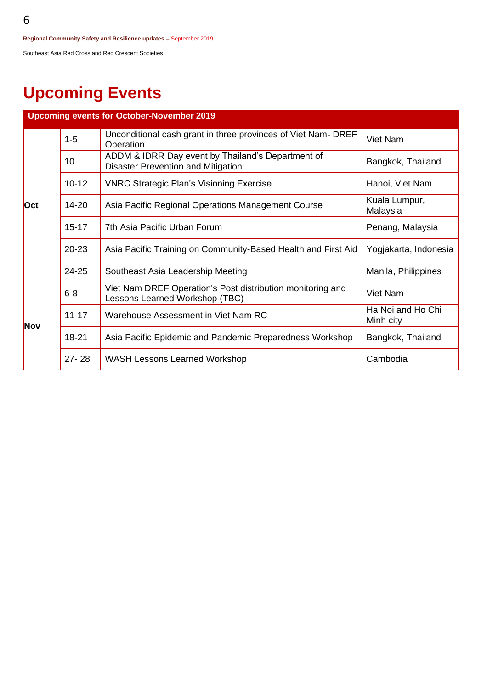## **Upcoming Events**

| <b>Upcoming events for October-November 2019</b> |           |                                                                                                |                                |
|--------------------------------------------------|-----------|------------------------------------------------------------------------------------------------|--------------------------------|
| <b>Oct</b>                                       | $1-5$     | Unconditional cash grant in three provinces of Viet Nam- DREF<br>Operation                     | Viet Nam                       |
|                                                  | 10        | ADDM & IDRR Day event by Thailand's Department of<br><b>Disaster Prevention and Mitigation</b> | Bangkok, Thailand              |
|                                                  | $10 - 12$ | <b>VNRC Strategic Plan's Visioning Exercise</b>                                                | Hanoi, Viet Nam                |
|                                                  | $14 - 20$ | Asia Pacific Regional Operations Management Course                                             | Kuala Lumpur,<br>Malaysia      |
|                                                  | $15 - 17$ | 7th Asia Pacific Urban Forum                                                                   | Penang, Malaysia               |
|                                                  | $20 - 23$ | Asia Pacific Training on Community-Based Health and First Aid                                  | Yogjakarta, Indonesia          |
|                                                  | 24-25     | Southeast Asia Leadership Meeting                                                              | Manila, Philippines            |
| Nov                                              | $6 - 8$   | Viet Nam DREF Operation's Post distribution monitoring and<br>Lessons Learned Workshop (TBC)   | Viet Nam                       |
|                                                  | $11 - 17$ | Warehouse Assessment in Viet Nam RC                                                            | Ha Noi and Ho Chi<br>Minh city |
|                                                  | $18 - 21$ | Asia Pacific Epidemic and Pandemic Preparedness Workshop                                       | Bangkok, Thailand              |
|                                                  | $27 - 28$ | <b>WASH Lessons Learned Workshop</b>                                                           | Cambodia                       |